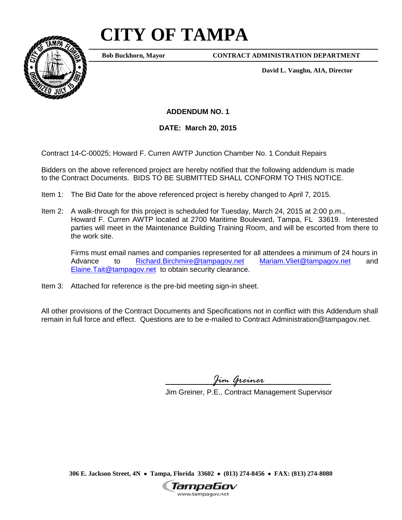## **CITY OF TAMPA**



**Bob Buckhorn, Mayor**

**CONTRACT ADMINISTRATION DEPARTMENT**

**David L. Vaughn, AIA, Director**

**ADDENDUM NO. 1**

**DATE: March 20, 2015**

Contract 14-C-00025; Howard F. Curren AWTP Junction Chamber No. 1 Conduit Repairs

Bidders on the above referenced project are hereby notified that the following addendum is made to the Contract Documents. BIDS TO BE SUBMITTED SHALL CONFORM TO THIS NOTICE.

- Item 1: The Bid Date for the above referenced project is hereby changed to April 7, 2015.
- Item 2: A walk-through for this project is scheduled for Tuesday, March 24, 2015 at 2:00 p.m., Howard F. Curren AWTP located at 2700 Maritime Boulevard, Tampa, FL 33619. Interested parties will meet in the Maintenance Building Training Room, and will be escorted from there to the work site.

Firms must email names and companies represented for all attendees a minimum of 24 hours in<br>Advance to Richard.Birchmire@tampagov.net Mariam.Vliet@tampagov.net and Advance to [Richard.Birchmire@tampagov.net](mailto:Richard.Birchmire@tampagov.net) [Mariam.Vliet@tampagov.net](mailto:Mariam.Vliet@tampagov.net) and [Elaine.Tait@tampagov.net](mailto:Elaine.Tait@tampagov.net) to obtain security clearance.

Item 3: Attached for reference is the pre-bid meeting sign-in sheet.

All other provisions of the Contract Documents and Specifications not in conflict with this Addendum shall remain in full force and effect. Questions are to be e-mailed to Contract Administration@tampagov.net.

*Jim Greiner*

Jim Greiner, P.E., Contract Management Supervisor

**306 E. Jackson Street, 4N** • **Tampa, Florida 33602** • **(813) 274-8456** • **FAX: (813) 274-8080**